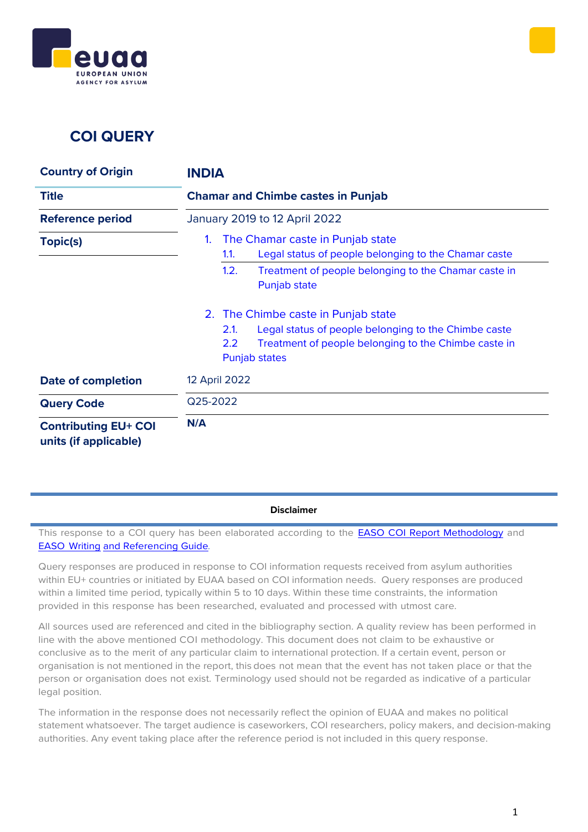



## **COI QUERY**

| <b>Country of Origin</b>                             | <b>INDIA</b>                                                                                                                                                     |
|------------------------------------------------------|------------------------------------------------------------------------------------------------------------------------------------------------------------------|
| <b>Title</b>                                         | <b>Chamar and Chimbe castes in Punjab</b>                                                                                                                        |
| <b>Reference period</b>                              | January 2019 to 12 April 2022                                                                                                                                    |
| Topic(s)                                             | The Chamar caste in Punjab state<br>1.<br>Legal status of people belonging to the Chamar caste<br>1.1.                                                           |
|                                                      | 1.2.<br>Treatment of people belonging to the Chamar caste in<br>Punjab state                                                                                     |
|                                                      | 2. The Chimbe caste in Punjab state                                                                                                                              |
|                                                      | Legal status of people belonging to the Chimbe caste<br>2.1.<br>$2.2\phantom{0}$<br>Treatment of people belonging to the Chimbe caste in<br><b>Punjab states</b> |
| <b>Date of completion</b>                            | 12 April 2022                                                                                                                                                    |
| <b>Query Code</b>                                    | Q25-2022                                                                                                                                                         |
| <b>Contributing EU+ COI</b><br>units (if applicable) | N/A                                                                                                                                                              |

**Disclaimer**

This response to a COI query has been elaborated according to the **EASO COI Report [Methodology](https://coi.easo.europa.eu/administration/easo/PLib/2019_EASO_COI_Report_Methodology.pdf)** and EASO [Writing](https://coi.easo.europa.eu/administration/easo/PLib/2019_EASO_COI_Writing_and_Referencing_Guide.pdf) and [Referencing](https://coi.easo.europa.eu/administration/easo/PLib/2019_EASO_COI_Writing_and_Referencing_Guide.pdf) Guide*.*

Query responses are produced in response to COI information requests received from asylum authorities within EU+ countries or initiated by EUAA based on COI information needs. Query responses are produced within a limited time period, typically within 5 to 10 days. Within these time constraints, the information provided in this response has been researched, evaluated and processed with utmost care.

All sources used are referenced and cited in the bibliography section. A quality review has been performed in line with the above mentioned COI methodology. This document does not claim to be exhaustive or conclusive as to the merit of any particular claim to international protection. If a certain event, person or organisation is not mentioned in the report, this does not mean that the event has not taken place or that the person or organisation does not exist. Terminology used should not be regarded as indicative of a particular legal position.

The information in the response does not necessarily reflect the opinion of EUAA and makes no political statement whatsoever. The target audience is caseworkers, COI researchers, policy makers, and decision-making authorities. Any event taking place after the reference period is not included in this query response.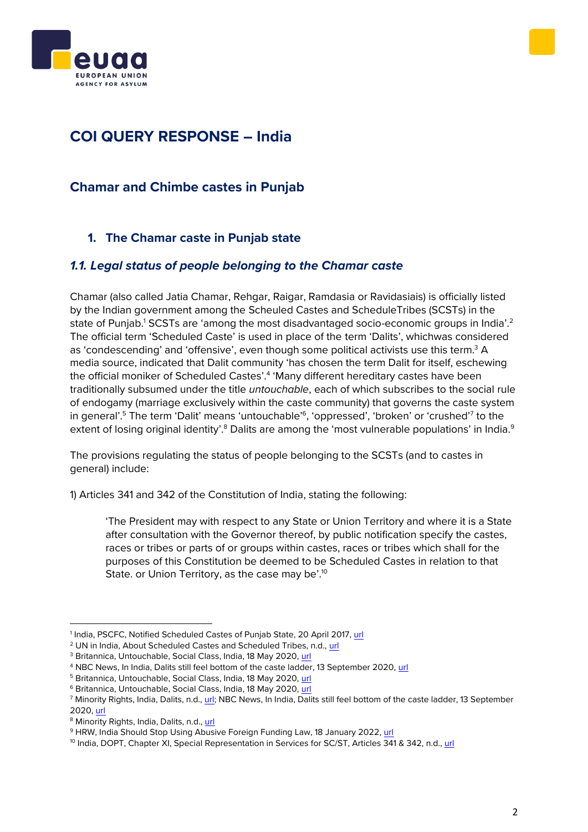



# **COI QUERY RESPONSE – India**

### **Chamar and Chimbe castes in Punjab**

### <span id="page-1-0"></span>**1. The Chamar caste in Punjab state**

#### <span id="page-1-1"></span>*1.1. Legal status of people belonging to the Chamar caste*

Chamar (also called Jatia Chamar, Rehgar, Raigar, Ramdasia or Ravidasiais) is officially listed by the Indian government among the Scheuled Castes and ScheduleTribes (SCSTs) in the state of Punjab.<sup>1</sup> SCSTs are 'among the most disadvantaged socio-economic groups in India'.<sup>2</sup> The official term 'Scheduled Caste' is used in place of the term 'Dalits', whichwas considered as 'condescending' and 'offensive', even though some political activists use this term.<sup>3</sup> A media source, indicated that Dalit community 'has chosen the term Dalit for itself, eschewing the official moniker of Scheduled Castes'.<sup>4</sup> 'Many different hereditary castes have been traditionally subsumed under the title *untouchable*, each of which subscribes to the social rule of endogamy (marriage exclusively within the caste community) that governs the caste system in general'.<sup>5</sup> The term 'Dalit' means 'untouchable'<sup>6</sup>, 'oppressed', 'broken' or 'crushed'<sup>7</sup> to the extent of losing original identity'.<sup>8</sup> Dalits are among the 'most vulnerable populations' in India.<sup>9</sup>

The provisions regulating the status of people belonging to the SCSTs (and to castes in general) include:

1) Articles 341 and 342 of the Constitution of India, stating the following:

'The President may with respect to any State or Union Territory and where it is a State after consultation with the Governor thereof, by public notification specify the castes, races or tribes or parts of or groups within castes, races or tribes which shall for the purposes of this Constitution be deemed to be Scheduled Castes in relation to that State. or Union Territory, as the case may be'.<sup>10</sup>

<sup>&</sup>lt;sup>1</sup> India, PSCFC, Notified Scheduled Castes of Punjab State, 20 April 2017, <u>url</u>

<sup>&</sup>lt;sup>2</sup> UN in India, About Scheduled Castes and Scheduled Tribes, n.d., [url](https://in.one.un.org/task-teams/scheduled-castes-and-scheduled-tribes/)

<sup>&</sup>lt;sup>3</sup> Britannica, Untouchable, Social Class, India, 18 May 2020, [url](https://www.britannica.com/topic/untouchable)

<sup>4</sup> NBC News, In India, Dalits still feel bottom of the caste ladder, 13 September 2020, [url](https://www.nbcnews.com/news/world/india-dalits-still-feel-bottom-caste-ladder-n1239846)

<sup>5</sup> Britannica, Untouchable, Social Class, India, 18 May 2020, [url](https://www.britannica.com/topic/untouchable)

<sup>6</sup> Britannica, Untouchable, Social Class, India, 18 May 2020, [url](https://www.britannica.com/topic/untouchable)

<sup>&</sup>lt;sup>7</sup> Minority Rights, India, Dalits, n.d., [url;](https://minorityrights.org/minorities/dalits/) NBC News, In India, Dalits still feel bottom of the caste ladder, 13 September 2020, [url](https://www.nbcnews.com/news/world/india-dalits-still-feel-bottom-caste-ladder-n1239846)

<sup>8</sup> Minority Rights, India, Dalits, n.d.[, url](https://minorityrights.org/minorities/dalits/)

<sup>&</sup>lt;sup>9</sup> HRW, India Should Stop Using Abusive Foreign Funding Law, 18 January 2022[, url](https://www.hrw.org/news/2022/01/18/india-should-stop-using-abusive-foreign-funding-law#:~:text=(Geneva)%20%E2%80%93%20The%20Indian%20government,silence%20civil%20society%20in%20India.)

<sup>&</sup>lt;sup>10</sup> India, DOPT, Chapter XI, Special Representation in Services for SC/ST, Articles 341 & 342, n.d., [url](https://dopt.gov.in/sites/default/files/ch-11.pdf)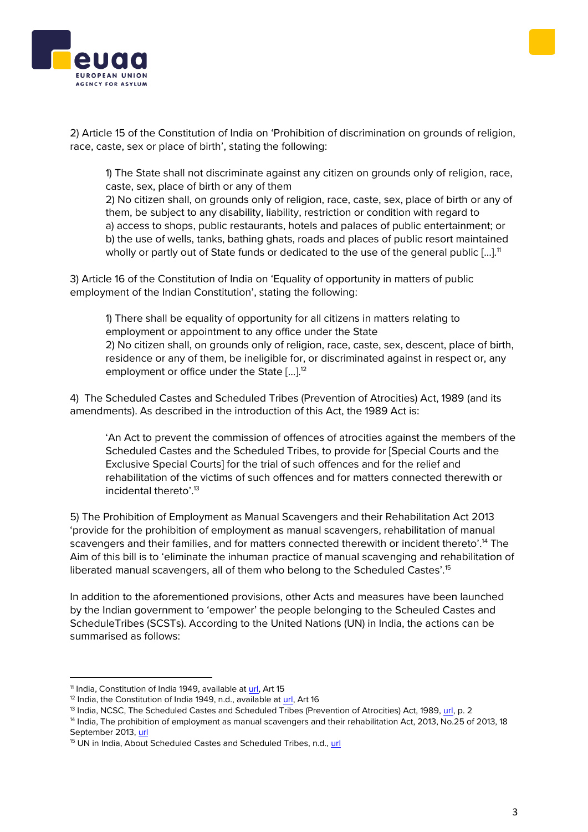



2) Article 15 of the Constitution of India on 'Prohibition of discrimination on grounds of religion, race, caste, sex or place of birth', stating the following:

1) The State shall not discriminate against any citizen on grounds only of religion, race, caste, sex, place of birth or any of them

2) No citizen shall, on grounds only of religion, race, caste, sex, place of birth or any of them, be subject to any disability, liability, restriction or condition with regard to a) access to shops, public restaurants, hotels and palaces of public entertainment; or b) the use of wells, tanks, bathing ghats, roads and places of public resort maintained wholly or partly out of State funds or dedicated to the use of the general public  $[\dots]$ <sup>11</sup>

3) Article 16 of the Constitution of India on 'Equality of opportunity in matters of public employment of the Indian Constitution', stating the following:

1) There shall be equality of opportunity for all citizens in matters relating to employment or appointment to any office under the State 2) No citizen shall, on grounds only of religion, race, caste, sex, descent, place of birth, residence or any of them, be ineligible for, or discriminated against in respect or, any employment or office under the State [...].<sup>12</sup>

4) The Scheduled Castes and Scheduled Tribes (Prevention of Atrocities) Act, 1989 (and its amendments). As described in the introduction of this Act, the 1989 Act is:

'An Act to prevent the commission of offences of atrocities against the members of the Scheduled Castes and the Scheduled Tribes, to provide for [Special Courts and the Exclusive Special Courts] for the trial of such offences and for the relief and rehabilitation of the victims of such offences and for matters connected therewith or incidental thereto'.<sup>13</sup>

5) The Prohibition of Employment as Manual Scavengers and their Rehabilitation Act 2013 'provide for the prohibition of employment as manual scavengers, rehabilitation of manual scavengers and their families, and for matters connected therewith or incident thereto'.<sup>14</sup> The Aim of this bill is to 'eliminate the inhuman practice of manual scavenging and rehabilitation of liberated manual scavengers, all of them who belong to the Scheduled Castes'.<sup>15</sup>

In addition to the aforementioned provisions, other Acts and measures have been launched by the Indian government to 'empower' the people belonging to the Scheuled Castes and ScheduleTribes (SCSTs). According to the United Nations (UN) in India, the actions can be summarised as follows:

<sup>&</sup>lt;sup>11</sup> India, Constitution of India 1949, available at [url,](https://indiankanoon.org/doc/609295/) Art 15

<sup>&</sup>lt;sup>12</sup> India, the Constitution of India 1949, n.d., available at [url,](https://indiankanoon.org/doc/211089/) Art 16

<sup>13</sup> India, NCSC, The Scheduled Castes and Scheduled Tribes (Prevention of Atrocities) Act, 1989, [url,](http://ncsc.nic.in/files/review%20proforma/PoA%20Act%201989%20with%20all%20ammendments.pdf) p. 2

<sup>&</sup>lt;sup>14</sup> India, The prohibition of employment as manual scavengers and their rehabilitation Act, 2013, No.25 of 2013, 18 September 2013, [url](http://ncsc.nic.in/files/review%20proforma/manualsca-act.pdf)

<sup>&</sup>lt;sup>15</sup> UN in India, About Scheduled Castes and Scheduled Tribes, n.d., [url](https://in.one.un.org/task-teams/scheduled-castes-and-scheduled-tribes/)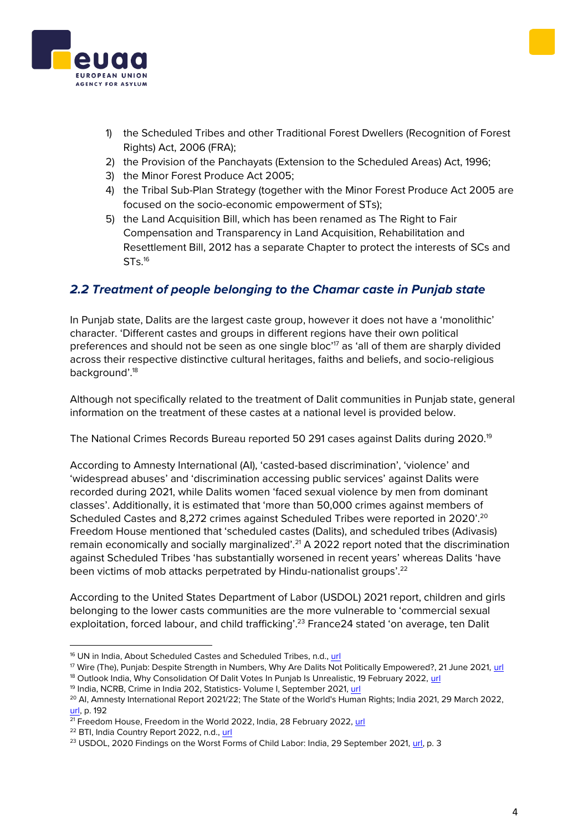

- 1) the Scheduled Tribes and other Traditional Forest Dwellers (Recognition of Forest Rights) Act, 2006 (FRA);
- 2) the Provision of the Panchayats (Extension to the Scheduled Areas) Act, 1996;
- 3) the Minor Forest Produce Act 2005;
- 4) the Tribal Sub-Plan Strategy (together with the Minor Forest Produce Act 2005 are focused on the socio-economic empowerment of STs);
- 5) the Land Acquisition Bill, which has been renamed as The Right to Fair Compensation and Transparency in Land Acquisition, Rehabilitation and Resettlement Bill, 2012 has a separate Chapter to protect the interests of SCs and STs. 16

### <span id="page-3-0"></span>*2.2 Treatment of people belonging to the Chamar caste in Punjab state*

In Punjab state, Dalits are the largest caste group, however it does not have a 'monolithic' character. 'Different castes and groups in different regions have their own political preferences and should not be seen as one single bloc'<sup>17</sup> as 'all of them are sharply divided across their respective distinctive cultural heritages, faiths and beliefs, and socio-religious background'.<sup>18</sup>

Although not specifically related to the treatment of Dalit communities in Punjab state, general information on the treatment of these castes at a national level is provided below.

The National Crimes Records Bureau reported 50 291 cases against Dalits during 2020.<sup>19</sup>

According to Amnesty International (AI), 'casted-based discrimination', 'violence' and 'widespread abuses' and 'discrimination accessing public services' against Dalits were recorded during 2021, while Dalits women 'faced sexual violence by men from dominant classes'. Additionally, it is estimated that 'more than 50,000 crimes against members of Scheduled Castes and 8,272 crimes against Scheduled Tribes were reported in 2020'.<sup>20</sup> Freedom House mentioned that 'scheduled castes (Dalits), and scheduled tribes (Adivasis) remain economically and socially marginalized'.<sup>21</sup> A 2022 report noted that the discrimination against Scheduled Tribes 'has substantially worsened in recent years' whereas Dalits 'have been victims of mob attacks perpetrated by Hindu-nationalist groups'.<sup>22</sup>

According to the United States Department of Labor (USDOL) 2021 report, children and girls belonging to the lower casts communities are the more vulnerable to 'commercial sexual exploitation, forced labour, and child trafficking'.<sup>23</sup> France 24 stated 'on average, ten Dalit

<sup>16</sup> UN in India, About Scheduled Castes and Scheduled Tribes, n.d., [url](https://in.one.un.org/task-teams/scheduled-castes-and-scheduled-tribes/)

<sup>17</sup> Wire (The), Punjab: Despite Strength in Numbers, Why Are Dalits Not Politically Empowered?, 21 June 2021, [url](https://thewire.in/politics/punjab-dalit-population-bsp-sad-empowerment)

<sup>&</sup>lt;sup>18</sup> Outlook India, Why Consolidation Of Dalit Votes In Punjab Is Unrealistic, 19 February 2022, [url](https://www.outlookindia.com/national/why-consolidation-of-dalit-votes-in-punjab-is-unrealistic--news-183110)

<sup>19</sup> India, NCRB, Crime in India 202, Statistics- Volume I, September 2021, [url](https://ncrb.gov.in/sites/default/files/CII%202020%20Volume%201.pdf)

<sup>&</sup>lt;sup>20</sup> AI, Amnesty International Report 2021/22; The State of the World's Human Rights; India 2021, 29 March 2022, [url,](https://www.amnesty.org/en/documents/pol10/4870/2022/en/#:~:text=The%20Amnesty%20International%20Report%202021,in%20the%20corridors%20of%20power.) p. 192

 $\frac{21}{21}$  Freedom House, Freedom in the World 2022, India, 28 February 2022[, url](https://freedomhouse.org/country/india/freedom-world/2022)

<sup>22</sup> BTI, India Country Report 2022, n.d., [url](https://bti-project.org/en/reports/country-report/IND)

<sup>&</sup>lt;sup>23</sup> USDOL, 2020 Findings on the Worst Forms of Child Labor: India, 29 September 2021, [url,](https://www.dol.gov/sites/dolgov/files/ILAB/child_labor_reports/tda2020/India.pdf) p. 3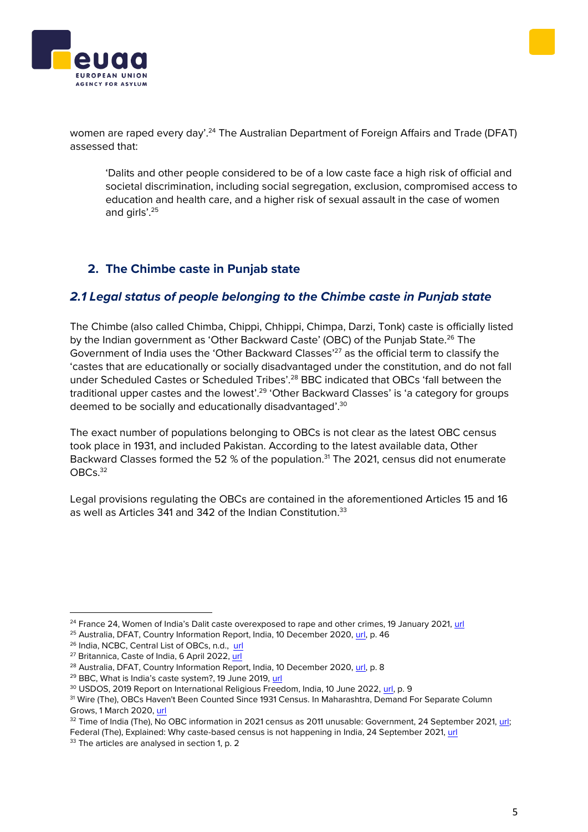



women are raped every day'.<sup>24</sup> The Australian Department of Foreign Affairs and Trade (DFAT) assessed that:

'Dalits and other people considered to be of a low caste face a high risk of official and societal discrimination, including social segregation, exclusion, compromised access to education and health care, and a higher risk of sexual assault in the case of women and girls'.<sup>25</sup>

#### <span id="page-4-0"></span>**2. The Chimbe caste in Punjab state**

#### <span id="page-4-1"></span>*2.1 Legal status of people belonging to the Chimbe caste in Punjab state*

The Chimbe (also called Chimba, Chippi, Chhippi, Chimpa, Darzi, Tonk) caste is officially listed by the Indian government as 'Other Backward Caste' (OBC) of the Punjab State.<sup>26</sup> The Government of India uses the 'Other Backward Classes'<sup>27</sup> as the official term to classify the 'castes that are educationally or socially disadvantaged under the constitution, and do not fall under Scheduled Castes or Scheduled Tribes'.<sup>28</sup> BBC indicated that OBCs 'fall between the traditional upper castes and the lowest'.<sup>29</sup> 'Other Backward Classes' is 'a category for groups deemed to be socially and educationally disadvantaged'.<sup>30</sup>

The exact number of populations belonging to OBCs is not clear as the latest OBC census took place in 1931, and included Pakistan. According to the latest available data, Other Backward Classes formed the 52 % of the population.<sup>31</sup> The 2021, census did not enumerate OBCs.<sup>32</sup>

Legal provisions regulating the OBCs are contained in the aforementioned Articles 15 and 16 as well as Articles 341 and 342 of the Indian Constitution.<sup>33</sup>

<sup>&</sup>lt;sup>24</sup> France 24, Women of India's Dalit caste overexposed to rape and other crimes, 19 January 2021, [url](https://www.france24.com/en/tv-shows/focus/20210119-women-of-india-s-dalit-caste-overexposed-to-rape-and-other-crimes)

<sup>&</sup>lt;sup>25</sup> Australia, DFAT, Country Information Report, India, 10 December 2020, [url,](https://www.dfat.gov.au/sites/default/files/country-information-report-india.pdf) p. 46

<sup>26</sup> India, NCBC, Central List of OBCs, n.d., [url](http://www.ncbc.nic.in/user_panel/GazetteResolution.aspx?Value=mPICjsL1aLuTMjHNGD7tLAGJDr0rFZ6gQLuDB%2fbe2VQawqI1srOZXpS98tTBZQrI)

<sup>27</sup> Britannica, Caste of India, 6 April 2022, [url](https://www.britannica.com/place/India/Caste)

<sup>&</sup>lt;sup>28</sup> Australia, DFAT, Country Information Report, India, 10 December 2020, [url,](https://www.dfat.gov.au/sites/default/files/country-information-report-india.pdf) p. 8

<sup>29</sup> BBC, What is India's caste system?, 19 June 2019, [url](https://www.bbc.com/news/world-asia-india-35650616)

<sup>&</sup>lt;sup>30</sup> USDOS, 2019 Report on International Religious Freedom, India, 10 June 2022, [url,](https://www.state.gov/wp-content/uploads/2020/06/INDIA-2019-INTERNATIONAL-RELIGIOUS-FREEDOM-REPORT.pdf) p. 9

<sup>31</sup> Wire (The), OBCs Haven't Been Counted Since 1931 Census. In Maharashtra, Demand For Separate Column Grows, 1 March 2020[, url](https://thewire.in/caste/maharashtra-obcs-census-2021)

<sup>&</sup>lt;sup>32</sup> Time of India (The), No OBC information in 2021 census as 2011 unusable: Government, 24 September 2021, url; Federal (The), Explained: Why caste-based census is not happening in India, 24 September 2021[, url](https://thefederal.com/explainers-2/caste-census/)

<sup>&</sup>lt;sup>33</sup> The articles are analysed in section 1, p. 2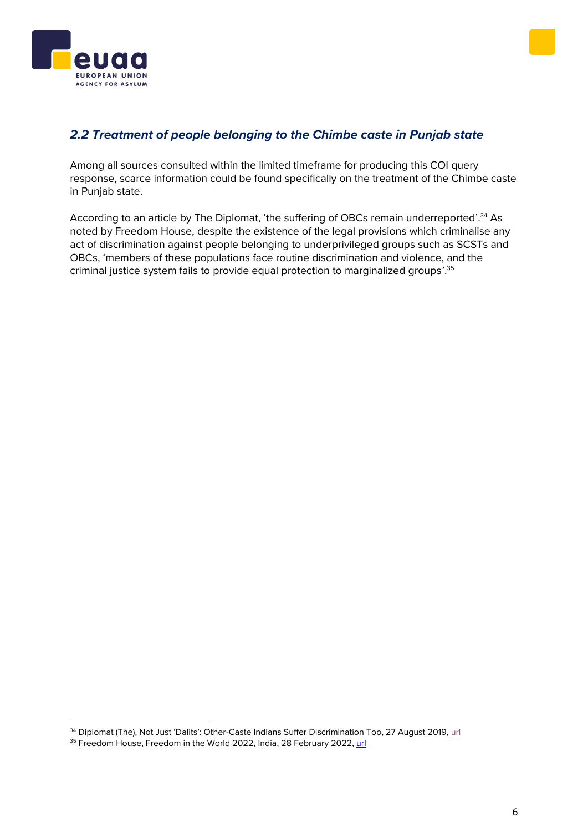



### <span id="page-5-0"></span>*2.2 Treatment of people belonging to the Chimbe caste in Punjab state*

Among all sources consulted within the limited timeframe for producing this COI query response, scarce information could be found specifically on the treatment of the Chimbe caste in Punjab state.

According to an article by The Diplomat, 'the suffering of OBCs remain underreported'.<sup>34</sup> As noted by Freedom House, despite the existence of the legal provisions which criminalise any act of discrimination against people belonging to underprivileged groups such as SCSTs and OBCs, 'members of these populations face routine discrimination and violence, and the criminal justice system fails to provide equal protection to marginalized groups'.<sup>35</sup>

<sup>&</sup>lt;sup>34</sup> Diplomat (The), Not Just 'Dalits': Other-Caste Indians Suffer Discrimination Too, 27 August 2019[, url](https://thediplomat.com/2019/08/not-just-dalits-other-caste-indians-suffer-discrimination-too/)

<sup>&</sup>lt;sup>35</sup> Freedom House, Freedom in the World 2022, India, 28 February 2022, [url](https://freedomhouse.org/country/india/freedom-world/2022)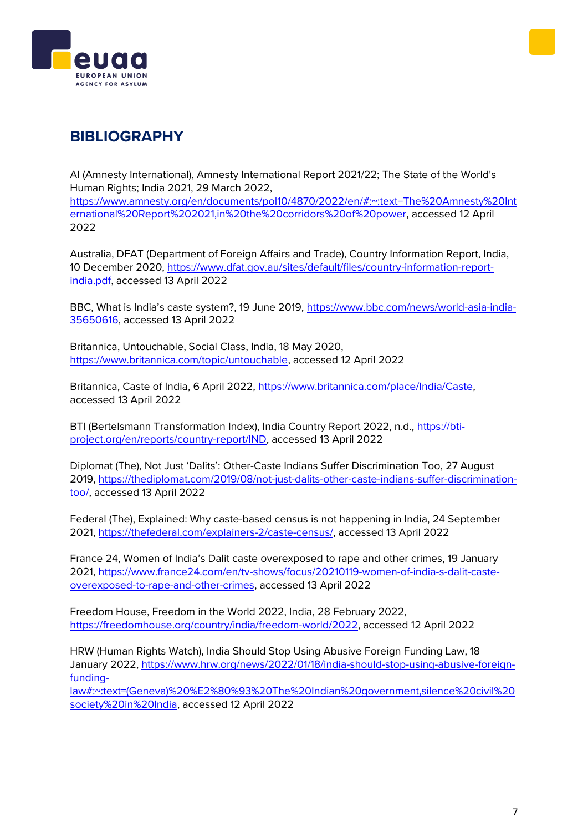



# **BIBLIOGRAPHY**

AI (Amnesty International), Amnesty International Report 2021/22; The State of the World's Human Rights; India 2021, 29 March 2022, [https://www.amnesty.org/en/documents/pol10/4870/2022/en/#:~:text=The%20Amnesty%20Int](https://www.amnesty.org/en/documents/pol10/4870/2022/en/#:~:text=The%20Amnesty%20International%20Report%202021,in%20the%20corridors%20of%20power) [ernational%20Report%202021,in%20the%20corridors%20of%20power,](https://www.amnesty.org/en/documents/pol10/4870/2022/en/#:~:text=The%20Amnesty%20International%20Report%202021,in%20the%20corridors%20of%20power) accessed 12 April 2022

Australia, DFAT (Department of Foreign Affairs and Trade), Country Information Report, India, 10 December 2020, [https://www.dfat.gov.au/sites/default/files/country-information-report](https://www.dfat.gov.au/sites/default/files/country-information-report-india.pdf)[india.pdf,](https://www.dfat.gov.au/sites/default/files/country-information-report-india.pdf) accessed 13 April 2022

BBC, What is India's caste system?, 19 June 2019, [https://www.bbc.com/news/world-asia-india-](https://www.bbc.com/news/world-asia-india-35650616)[35650616,](https://www.bbc.com/news/world-asia-india-35650616) accessed 13 April 2022

Britannica, Untouchable, Social Class, India, 18 May 2020, [https://www.britannica.com/topic/untouchable,](https://www.britannica.com/topic/untouchable) accessed 12 April 2022

Britannica, Caste of India, 6 April 2022, [https://www.britannica.com/place/India/Caste,](https://www.britannica.com/place/India/Caste) accessed 13 April 2022

BTI (Bertelsmann Transformation Index), India Country Report 2022, n.d., [https://bti](https://bti-project.org/en/reports/country-report/IND)[project.org/en/reports/country-report/IND,](https://bti-project.org/en/reports/country-report/IND) accessed 13 April 2022

Diplomat (The), Not Just 'Dalits': Other-Caste Indians Suffer Discrimination Too, 27 August 2019, [https://thediplomat.com/2019/08/not-just-dalits-other-caste-indians-suffer-discrimination](https://thediplomat.com/2019/08/not-just-dalits-other-caste-indians-suffer-discrimination-too/)[too/,](https://thediplomat.com/2019/08/not-just-dalits-other-caste-indians-suffer-discrimination-too/) accessed 13 April 2022

Federal (The), Explained: Why caste-based census is not happening in India, 24 September 2021, [https://thefederal.com/explainers-2/caste-census/,](https://thefederal.com/explainers-2/caste-census/) accessed 13 April 2022

France 24, Women of India's Dalit caste overexposed to rape and other crimes, 19 January 2021, [https://www.france24.com/en/tv-shows/focus/20210119-women-of-india-s-dalit-caste](https://www.france24.com/en/tv-shows/focus/20210119-women-of-india-s-dalit-caste-overexposed-to-rape-and-other-crimes)[overexposed-to-rape-and-other-crimes,](https://www.france24.com/en/tv-shows/focus/20210119-women-of-india-s-dalit-caste-overexposed-to-rape-and-other-crimes) accessed 13 April 2022

Freedom House, Freedom in the World 2022, India, 28 February 2022, [https://freedomhouse.org/country/india/freedom-world/2022,](https://freedomhouse.org/country/india/freedom-world/2022) accessed 12 April 2022

HRW (Human Rights Watch), India Should Stop Using Abusive Foreign Funding Law, 18 January 2022, [https://www.hrw.org/news/2022/01/18/india-should-stop-using-abusive-foreign](https://www.hrw.org/news/2022/01/18/india-should-stop-using-abusive-foreign-funding-law#:~:text=(Geneva)%20%E2%80%93%20The%20Indian%20government,silence%20civil%20society%20in%20India)[funding-](https://www.hrw.org/news/2022/01/18/india-should-stop-using-abusive-foreign-funding-law#:~:text=(Geneva)%20%E2%80%93%20The%20Indian%20government,silence%20civil%20society%20in%20India)

[law#:~:text=\(Geneva\)%20%E2%80%93%20The%20Indian%20government,silence%20civil%20](https://www.hrw.org/news/2022/01/18/india-should-stop-using-abusive-foreign-funding-law#:~:text=(Geneva)%20%E2%80%93%20The%20Indian%20government,silence%20civil%20society%20in%20India) [society%20in%20India,](https://www.hrw.org/news/2022/01/18/india-should-stop-using-abusive-foreign-funding-law#:~:text=(Geneva)%20%E2%80%93%20The%20Indian%20government,silence%20civil%20society%20in%20India) accessed 12 April 2022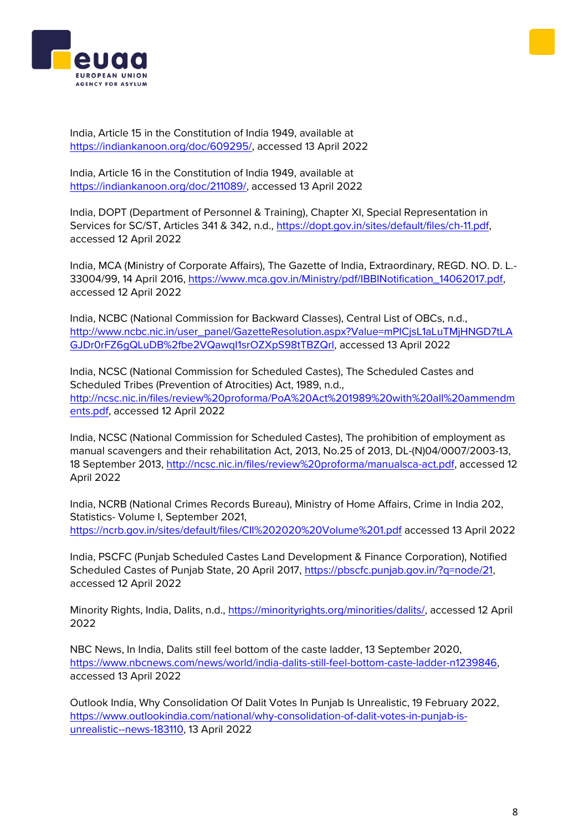



India, Article 15 in the Constitution of India 1949, available at [https://indiankanoon.org/doc/609295/,](https://indiankanoon.org/doc/609295/) accessed 13 April 2022

India, Article 16 in the Constitution of India 1949, available at [https://indiankanoon.org/doc/211089/,](https://indiankanoon.org/doc/211089/) accessed 13 April 2022

India, DOPT (Department of Personnel & Training), Chapter XI, Special Representation in Services for SC/ST, Articles 341 & 342, n.d., [https://dopt.gov.in/sites/default/files/ch-11.pdf,](https://dopt.gov.in/sites/default/files/ch-11.pdf) accessed 12 April 2022

India, MCA (Ministry of Corporate Affairs), The Gazette of India, Extraordinary, REGD. NO. D. L.- 33004/99, 14 April 2016, [https://www.mca.gov.in/Ministry/pdf/IBBINotification\\_14062017.pdf,](https://www.mca.gov.in/Ministry/pdf/IBBINotification_14062017.pdf) accessed 12 April 2022

India, NCBC (National Commission for Backward Classes), Central List of OBCs, n.d., [http://www.ncbc.nic.in/user\\_panel/GazetteResolution.aspx?Value=mPICjsL1aLuTMjHNGD7tLA](http://www.ncbc.nic.in/user_panel/GazetteResolution.aspx?Value=mPICjsL1aLuTMjHNGD7tLAGJDr0rFZ6gQLuDB%2fbe2VQawqI1srOZXpS98tTBZQrI) [GJDr0rFZ6gQLuDB%2fbe2VQawqI1srOZXpS98tTBZQrI,](http://www.ncbc.nic.in/user_panel/GazetteResolution.aspx?Value=mPICjsL1aLuTMjHNGD7tLAGJDr0rFZ6gQLuDB%2fbe2VQawqI1srOZXpS98tTBZQrI) accessed 13 April 2022

India, NCSC (National Commission for Scheduled Castes), The Scheduled Castes and Scheduled Tribes (Prevention of Atrocities) Act, 1989, n.d., [http://ncsc.nic.in/files/review%20proforma/PoA%20Act%201989%20with%20all%20ammendm](http://ncsc.nic.in/files/review%20proforma/PoA%20Act%201989%20with%20all%20ammendments.pdf) [ents.pdf,](http://ncsc.nic.in/files/review%20proforma/PoA%20Act%201989%20with%20all%20ammendments.pdf) accessed 12 April 2022

India, NCSC (National Commission for Scheduled Castes), The prohibition of employment as manual scavengers and their rehabilitation Act, 2013, No.25 of 2013, DL-(N)04/0007/2003-13, 18 September 2013, [http://ncsc.nic.in/files/review%20proforma/manualsca-act.pdf,](http://ncsc.nic.in/files/review%20proforma/manualsca-act.pdf) accessed 12 April 2022

India, NCRB (National Crimes Records Bureau), Ministry of Home Affairs, Crime in India 202, Statistics- Volume I, September 2021, <https://ncrb.gov.in/sites/default/files/CII%202020%20Volume%201.pdf> accessed 13 April 2022

India, PSCFC (Punjab Scheduled Castes Land Development & Finance Corporation), Notified Scheduled Castes of Punjab State, 20 April 2017, [https://pbscfc.punjab.gov.in/?q=node/21,](https://pbscfc.punjab.gov.in/?q=node/21) accessed 12 April 2022

Minority Rights, India, Dalits, n.d., [https://minorityrights.org/minorities/dalits/,](https://minorityrights.org/minorities/dalits/) accessed 12 April 2022

NBC News, In India, Dalits still feel bottom of the caste ladder, 13 September 2020, [https://www.nbcnews.com/news/world/india-dalits-still-feel-bottom-caste-ladder-n1239846,](https://www.nbcnews.com/news/world/india-dalits-still-feel-bottom-caste-ladder-n1239846) accessed 13 April 2022

Outlook India, Why Consolidation Of Dalit Votes In Punjab Is Unrealistic, 19 February 2022, [https://www.outlookindia.com/national/why-consolidation-of-dalit-votes-in-punjab-is](https://www.outlookindia.com/national/why-consolidation-of-dalit-votes-in-punjab-is-unrealistic--news-183110)[unrealistic--news-183110,](https://www.outlookindia.com/national/why-consolidation-of-dalit-votes-in-punjab-is-unrealistic--news-183110) 13 April 2022